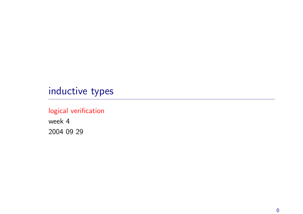# inductive types

# logical verification

week 4 2004 09 29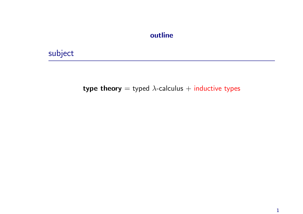### outline

subject

## type theory = typed  $\lambda$ -calculus + inductive types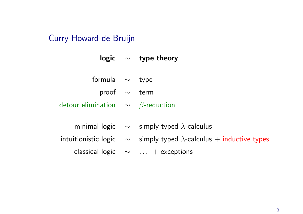# Curry-Howard-de Bruijn

|                                                        | logic $\sim$ type theory                                                       |  |
|--------------------------------------------------------|--------------------------------------------------------------------------------|--|
|                                                        |                                                                                |  |
| formula $\sim$ type                                    |                                                                                |  |
| proof $\sim$ term                                      |                                                                                |  |
| detour elimination $\quad \sim \quad \beta$ -reduction |                                                                                |  |
|                                                        |                                                                                |  |
|                                                        | minimal logic $\sim$ simply typed $\lambda$ -calculus                          |  |
|                                                        | intuitionistic logic $\sim$ simply typed $\lambda$ -calculus + inductive types |  |
|                                                        | classical logic $\sim$ + exceptions                                            |  |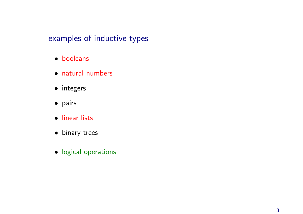# examples of inductive types

- booleans
- natural numbers
- integers
- pairs
- linear lists
- binary trees
- logical operations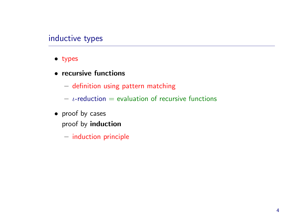# inductive types

- types
- recursive functions
	- $-$  definition using pattern matching
	- $\iota$ -reduction  $=$  evaluation of recursive functions
- proof by cases proof by induction
	- $-$  induction principle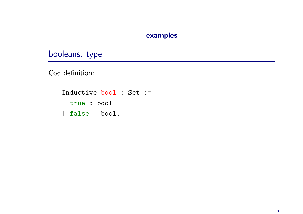### examples

booleans: type

Coq definition:

Inductive bool : Set := true : bool | false : bool.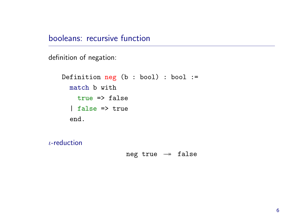booleans: recursive function

definition of negation:

```
Definition neg (b : bool) : bool :=
 match b with
   true => false
 | false => true
 end.
```
 $\iota$ -reduction

neg true  $\rightarrow$  false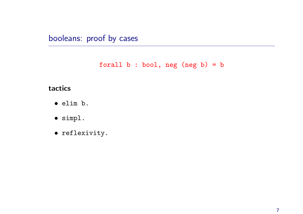booleans: proof by cases

```
forall b : bool, neg (neg b) = b
```
### tactics

- elim b.
- simpl.
- reflexivity.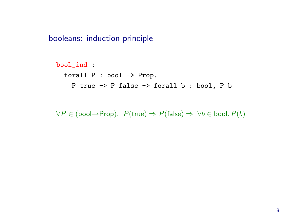booleans: induction principle

```
bool_ind :
forall P : bool -> Prop,
  P true -> P false -> forall b : bool, P b
```
 $\forall P \in (bool \rightarrow Prop)$ .  $P(true) \Rightarrow P(false) \Rightarrow \forall b \in bool$ .  $P(b)$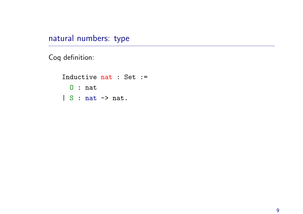natural numbers: type

Coq definition:

Inductive nat : Set := O : nat  $| S : nat \rightarrow nat.$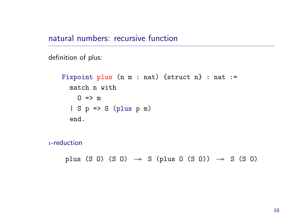## natural numbers: recursive function

```
definition of plus:
```

```
Fixpoint plus (n m : nat) {struct n} : nat :=
 match n with
   0 \Rightarrow m| S p => S (plus p m)
 end.
```

```
ι-reduction
```
plus (S O) (S O)  $\rightarrow$  S (plus O (S O))  $\rightarrow$  S (S O)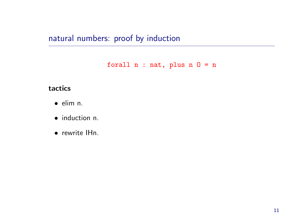natural numbers: proof by induction

forall  $n : nat$ , plus  $n 0 = n$ 

### tactics

- elim n.
- induction n.
- rewrite IHn.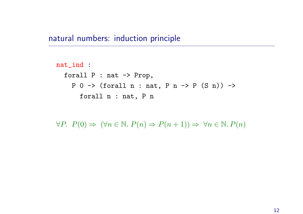### natural numbers: induction principle

```
nat_ind :
 forall P : nat -> Prop,
   P 0 -> (forall n : nat, P n \rightarrow P (S n)) ->
     forall n : nat, P n
```
 $\forall P. \ P(0) \Rightarrow (\forall n \in \mathbb{N}. \ P(n) \Rightarrow P(n+1)) \Rightarrow \forall n \in \mathbb{N}. \ P(n)$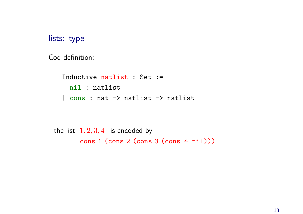lists: type

Coq definition:

Inductive natlist : Set := nil : natlist | cons : nat -> natlist -> natlist

the list  $1, 2, 3, 4$  is encoded by cons 1 (cons 2 (cons 3 (cons 4 nil)))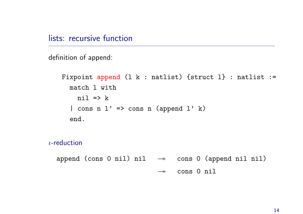definition of append:

```
Fixpoint append (1 k : natlist) \{struct 1\} : natlist :=
 match l with
   nil \Rightarrow k| cons n 1' => cons n (append 1' k)
 end.
```

```
ι-reduction
```
append (cons 0 nil) nil  $\rightarrow$  cons 0 (append nil nil)  $\longrightarrow$ cons 0 nil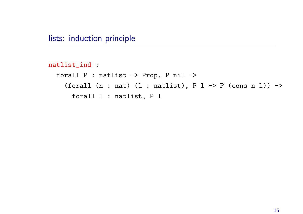```
natlist_ind :
 forall P : natlist -> Prop, P nil ->
   (forall (n : nat) (1 : natlist), P 1 \rightarrow P (cons n 1)) \rightarrowforall l : natlist, P l
```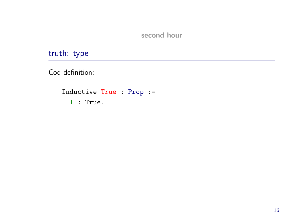second hour

truth: type

Coq definition:

```
Inductive True : Prop :=
 I : True.
```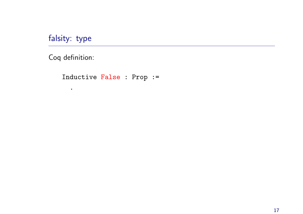falsity: type

Coq definition:

.

Inductive False : Prop :=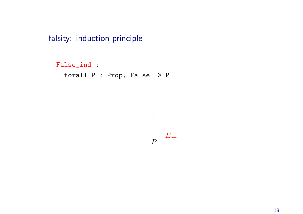falsity: induction principle

```
False_ind :
 forall P : Prop, False -> P
```
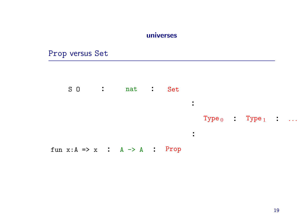#### universes

:

### Prop versus Set





Type  $_0$  : Type  $_1$  : ...

fun  $x:A \Rightarrow x$  :  $A \Rightarrow A$  : Prop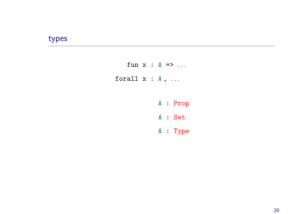# types

- fun  $x : A \Rightarrow ...$ forall  $x : A$ , ...
	- A : Prop
	- A : Set
	- A : Type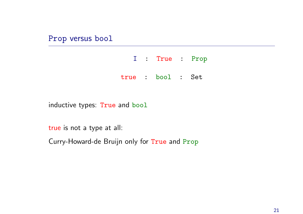### Prop versus bool

|  | I : True : Prop   |  |
|--|-------------------|--|
|  | true : bool : Set |  |

inductive types: True and bool

true is not <sup>a</sup> type at all:

Curry-Howard-de Bruijn only for True and Prop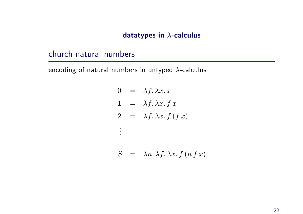### datatypes in λ-calculus

# church natural numbers

encoding of natural numbers in untyped  $\lambda$ -calculus

$$
0 = \lambda f. \lambda x. x
$$
  
\n
$$
1 = \lambda f. \lambda x. f x
$$
  
\n
$$
2 = \lambda f. \lambda x. f (f x)
$$
  
\n:  
\n:  
\n
$$
3x^2 + 2x^3 + 3x^2 + 3x^2 + 4x - 5 = 0
$$
  
\n:  
\n
$$
3x^2 + 2x - 5 = 0
$$
  
\n:  
\n
$$
3x^2 + 2x - 5 = 0
$$
  
\n:  
\n
$$
3x^2 + 2x - 5 = 0
$$
  
\n:  
\n
$$
3x^2 + 2x - 5 = 0
$$
  
\n:  
\n
$$
3x^2 + 2x - 5 = 0
$$
  
\n:  
\n
$$
3x^2 + 2x - 5 = 0
$$
  
\n:  
\n
$$
3x^2 + 2x - 5 = 0
$$
  
\n:  
\n
$$
3x^2 + 2x - 5 = 0
$$
  
\n:  
\n
$$
3x^2 + 2x - 5 = 0
$$
  
\n:  
\n
$$
3x^2 + 2x - 5 = 0
$$
  
\n:  
\n
$$
3x^2 + 2x - 5 = 0
$$
  
\n:  
\n
$$
3x^2 + 2x - 5 = 0
$$
  
\n:  
\n
$$
3x^2 + 2x - 5 = 0
$$
  
\n:  
\n
$$
3x^2 + 2x - 5 = 0
$$
  
\n:  
\n
$$
3x^2 + 2x - 5 = 0
$$
  
\n:  
\n
$$
3x^2 + 2x - 5 = 0
$$
  
\n:  
\n
$$
3x^2 + 2x - 5 = 0
$$
  
\n:  
\n
$$
3x^2 + 2x - 5 = 0
$$
  
\n:  
\n
$$
3x^2 + 2x - 5 = 0
$$
  
\n:  
\n
$$
3x^2 + 2x - 5 = 0
$$
  
\n
$$
3x^2 + 2x - 5 = 0
$$
  
\n
$$
3x^2 + 2x
$$

$$
S = \lambda n. \lambda f. \lambda x. f (n f x)
$$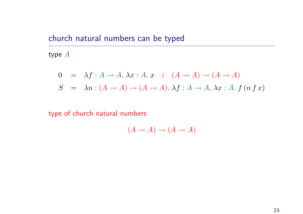# church natural numbers can be typed

type A

$$
0 = \lambda f : A \to A. \lambda x : A. x : (A \to A) \to (A \to A)
$$
  

$$
S = \lambda n : (A \to A) \to (A \to A). \lambda f : A \to A. \lambda x : A. f (n f x)
$$

### type of church natural numbers

$$
(A \to A) \to (A \to A)
$$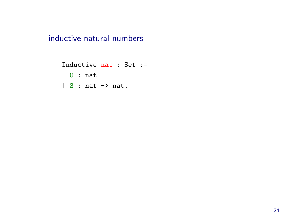inductive natural numbers

Inductive nat : Set := O : nat | S : nat -> nat.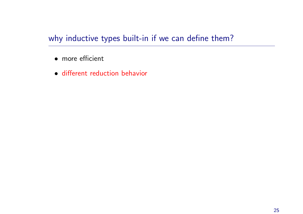# why inductive types built-in if we can define them?

- more efficient
- different reduction behavior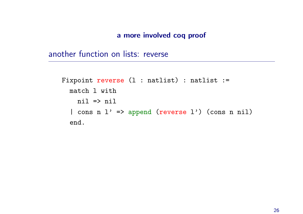#### <sup>a</sup> more involved coq proof

another function on lists: reverse

```
Fixpoint reverse (1 : natlist) : natlist :=
match l with
   nil => nil
 | cons n l' => append (reverse l') (cons n nil)
 end.
```